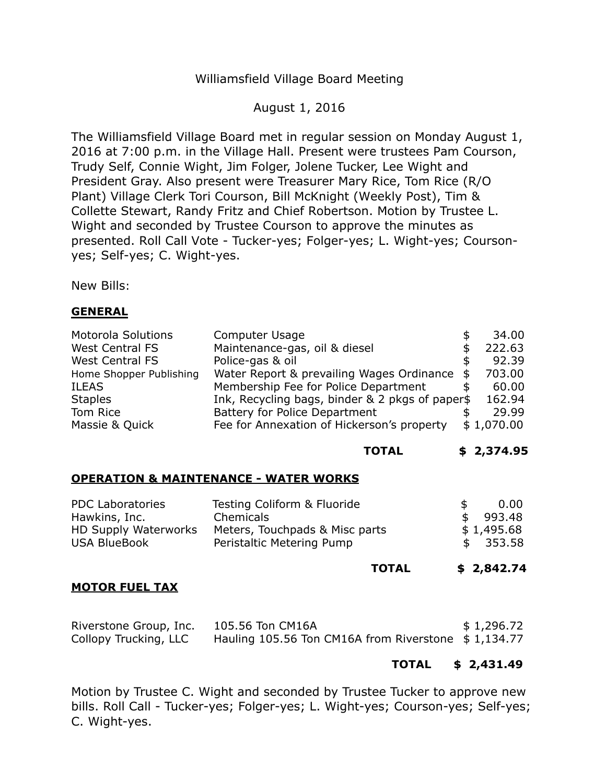## Williamsfield Village Board Meeting

## August 1, 2016

The Williamsfield Village Board met in regular session on Monday August 1, 2016 at 7:00 p.m. in the Village Hall. Present were trustees Pam Courson, Trudy Self, Connie Wight, Jim Folger, Jolene Tucker, Lee Wight and President Gray. Also present were Treasurer Mary Rice, Tom Rice (R/O Plant) Village Clerk Tori Courson, Bill McKnight (Weekly Post), Tim & Collette Stewart, Randy Fritz and Chief Robertson. Motion by Trustee L. Wight and seconded by Trustee Courson to approve the minutes as presented. Roll Call Vote - Tucker-yes; Folger-yes; L. Wight-yes; Coursonyes; Self-yes; C. Wight-yes.

New Bills:

### **GENERAL**

| <b>Motorola Solutions</b> | Computer Usage                                  |   | 34.00      |
|---------------------------|-------------------------------------------------|---|------------|
| <b>West Central FS</b>    | Maintenance-gas, oil & diesel                   |   | 222.63     |
| <b>West Central FS</b>    | Police-gas & oil                                |   | 92.39      |
| Home Shopper Publishing   | Water Report & prevailing Wages Ordinance       | க | 703.00     |
| <b>ILEAS</b>              | Membership Fee for Police Department            |   | 60.00      |
| <b>Staples</b>            | Ink, Recycling bags, binder & 2 pkgs of paper\$ |   | 162.94     |
| Tom Rice                  | Battery for Police Department                   |   | 29.99      |
| Massie & Quick            | Fee for Annexation of Hickerson's property      |   | \$1,070.00 |

#### **TOTAL \$ [2,374.95](https://2,374.95)**

#### **OPERATION & MAINTENANCE - WATER WORKS**

| <b>PDC Laboratories</b>     | Testing Coliform & Fluoride    | 0.00          |
|-----------------------------|--------------------------------|---------------|
| Hawkins, Inc.               | Chemicals                      | 993.48<br>-SG |
| <b>HD Supply Waterworks</b> | Meters, Touchpads & Misc parts | \$1,495.68    |
| <b>USA BlueBook</b>         | Peristaltic Metering Pump      | \$353.58      |
|                             |                                |               |

#### **TOTAL TOTAL \$ 2,842.74**

#### **MOTOR FUEL TAX**

| Riverstone Group, Inc. | 105.56 Ton CM16A                                    | \$1,296.72 |
|------------------------|-----------------------------------------------------|------------|
| Collopy Trucking, LLC  | Hauling 105.56 Ton CM16A from Riverstone \$1,134.77 |            |

## **TOTAL \$ [2,431.49](https://2,431.49)**

Motion by Trustee C. Wight and seconded by Trustee Tucker to approve new bills. Roll Call - Tucker-yes; Folger-yes; L. Wight-yes; Courson-yes; Self-yes; C. Wight-yes.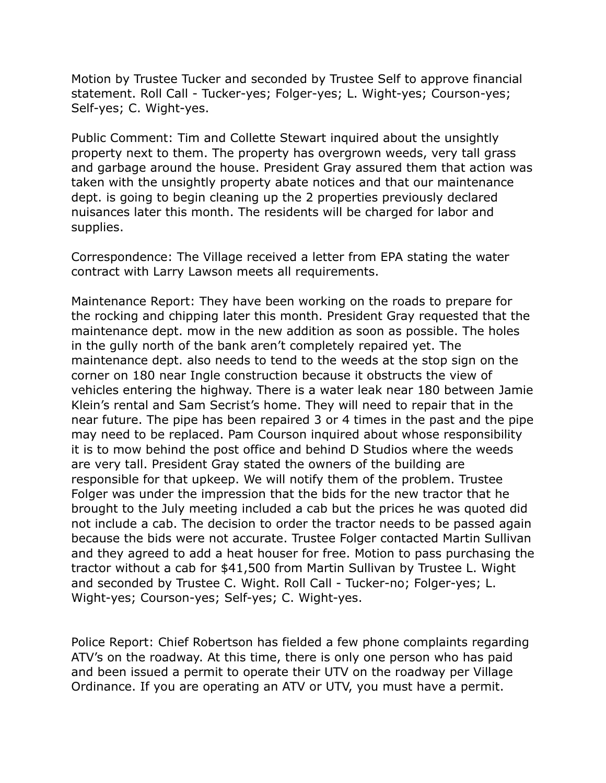Motion by Trustee Tucker and seconded by Trustee Self to approve financial statement. Roll Call - Tucker-yes; Folger-yes; L. Wight-yes; Courson-yes; Self-yes; C. Wight-yes.

 Public Comment: Tim and Collette Stewart inquired about the unsightly property next to them. The property has overgrown weeds, very tall grass and garbage around the house. President Gray assured them that action was taken with the unsightly property abate notices and that our maintenance dept. is going to begin cleaning up the 2 properties previously declared nuisances later this month. The residents will be charged for labor and supplies.

supplies.<br>Correspondence: The Village received a letter from EPA stating the water contract with Larry Lawson meets all requirements.

 Maintenance Report: They have been working on the roads to prepare for maintenance dept. mow in the new addition as soon as possible. The holes in the gully north of the bank aren't completely repaired yet. The maintenance dept. also needs to tend to the weeds at the stop sign on the corner on 180 near Ingle construction because it obstructs the view of vehicles entering the highway. There is a water leak near 180 between Jamie Klein's rental and Sam Secrist's home. They will need to repair that in the near future. The pipe has been repaired 3 or 4 times in the past and the pipe may need to be replaced. Pam Courson inquired about whose responsibility it is to mow behind the post office and behind D Studios where the weeds are very tall. President Gray stated the owners of the building are responsible for that upkeep. We will notify them of the problem. Trustee Folger was under the impression that the bids for the new tractor that he brought to the July meeting included a cab but the prices he was quoted did not include a cab. The decision to order the tractor needs to be passed again because the bids were not accurate. Trustee Folger contacted Martin Sullivan and they agreed to add a heat houser for free. Motion to pass purchasing the tractor without a cab for \$41,500 from Martin Sullivan by Trustee L. Wight and seconded by Trustee C. Wight. Roll Call - Tucker-no; Folger-yes; L. Wight-yes; Courson-yes; Self-yes; C. Wight-yes. the rocking and chipping later this month. President Gray requested that the

 Police Report: Chief Robertson has fielded a few phone complaints regarding ATV's on the roadway. At this time, there is only one person who has paid and been issued a permit to operate their UTV on the roadway per Village Ordinance. If you are operating an ATV or UTV, you must have a permit.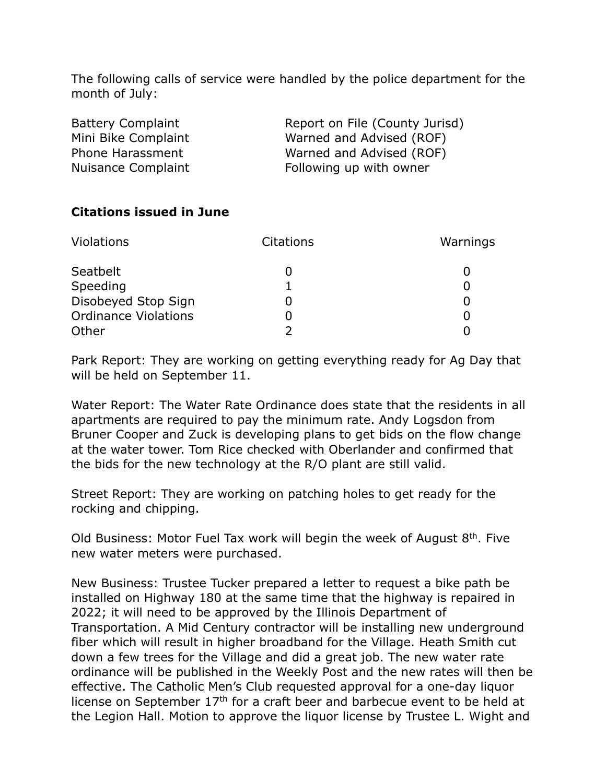The following calls of service were handled by the police department for the month of July:

| <b>Battery Complaint</b> | Report on File (County Jurisd) |
|--------------------------|--------------------------------|
| Mini Bike Complaint      | Warned and Advised (ROF)       |
| Phone Harassment         | Warned and Advised (ROF)       |
| Nuisance Complaint       | Following up with owner        |

# **Citations issued in June**

| <b>Violations</b>           | <b>Citations</b> | Warnings |
|-----------------------------|------------------|----------|
| Seatbelt                    |                  |          |
| Speeding                    |                  |          |
| Disobeyed Stop Sign         |                  |          |
| <b>Ordinance Violations</b> |                  |          |
| Other                       |                  |          |

 Park Report: They are working on getting everything ready for Ag Day that will be held on September 11.

 Water Report: The Water Rate Ordinance does state that the residents in all apartments are required to pay the minimum rate. Andy Logsdon from Bruner Cooper and Zuck is developing plans to get bids on the flow change at the water tower. Tom Rice checked with Oberlander and confirmed that the bids for the new technology at the R/O plant are still valid.

 Street Report: They are working on patching holes to get ready for the rocking and chipping.

Old Business: Motor Fuel Tax work will begin the week of August  $8<sup>th</sup>$ . Five new water meters were purchased.

 New Business: Trustee Tucker prepared a letter to request a bike path be installed on Highway 180 at the same time that the highway is repaired in 2022; it will need to be approved by the Illinois Department of Transportation. A Mid Century contractor will be installing new underground fiber which will result in higher broadband for the Village. Heath Smith cut down a few trees for the Village and did a great job. The new water rate ordinance will be published in the Weekly Post and the new rates will then be effective. The Catholic Men's Club requested approval for a one-day liquor license on September  $17<sup>th</sup>$  for a craft beer and barbecue event to be held at the Legion Hall. Motion to approve the liquor license by Trustee L. Wight and